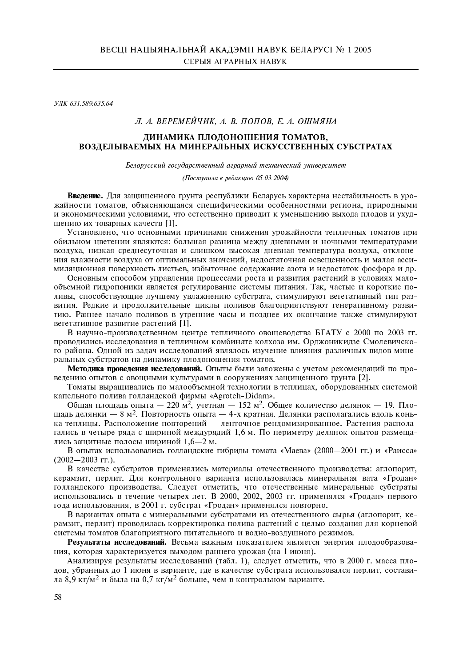УЛК 631.589:635.64

## Л. А. ВЕРЕМЕЙЧИК. А. В. ПОПОВ. Е. А. ОШМЯНА

# ЛИНАМИКА ПЛОЛОНОШЕНИЯ ТОМАТОВ. ВОЗЛЕЛЫВАЕМЫХ НА МИНЕРАЛЬНЫХ ИСКУССТВЕННЫХ СУБСТРАТАХ

#### Белорусский государственный аграрный технический университет

(Поступила в редакцию 05.03.2004)

Введение. Для защищенного грунта республики Беларусь характерна нестабильность в урожайности томатов, объясняющаяся специфическими особенностями региона, природными и экономическими условиями, что естественно приводит к уменьшению выхода плодов и ухудшению их товарных качеств [1].

Установлено, что основными причинами снижения урожайности тепличных томатов при обильном цветении являются: большая разница между дневными и ночными температурами воздуха, низкая среднесуточная и слишком высокая дневная температура воздуха, отклонения влажности воздуха от оптимальных значений, недостаточная освещенность и малая ассимиляционная поверхность листьев, избыточное содержание азота и недостаток фосфора и др.

Основным способом управления процессами роста и развития растений в условиях малообъемной гидропоники является регулирование системы питания. Так, частые и короткие поливы, способствующие лучшему увлажнению субстрата, стимулируют вегетативный тип развития. Редкие и продолжительные циклы поливов благоприятствуют генеративному развитию. Раннее начало поливов в утренние часы и позднее их окончание также стимулируют вегетативное развитие растений [1].

В научно-производственном центре тепличного овощеводства БГАТУ с 2000 по 2003 гг. проводились исследования в тепличном комбинате колхоза им. Орджоникидзе Смолевичского района. Одной из задач исследований являлось изучение влияния различных видов минеральных субстратов на динамику плодоношения томатов.

Методика проведения исследований. Опыты были заложены с учетом рекомендаций по проведению опытов с овошными культурами в сооружениях защищенного грунта [2].

Томаты вырашивались по малообъемной технологии в теплицах, оборулованных системой капельного полива голландской фирмы «Agroteh-Didam».

Общая площадь опыта - 220 м<sup>2</sup>, учетная - 152 м<sup>2</sup>. Общее количество делянок - 19. Площадь делянки - 8 м<sup>2</sup>. Повторность опыта - 4-х кратная. Делянки располагались вдоль конька теплицы. Расположение повторений - ленточное рендомизированное. Растения располагались в четыре ряда с шириной междурядий 1,6 м. По периметру делянок опытов размещались защитные полосы шириной 1,6-2 м.

В опытах использовались голландские гибриды томата «Маева» (2000—2001 гг.) и «Раисса»  $(2002 - 2003$  rr.).

В качестве субстратов применялись материалы отечественного производства: аглопорит, керамзит, перлит. Для контрольного варианта использовалась минеральная вата «Гродан» голландского производства. Следует отметить, что отечественные минеральные субстраты использовались в течение четырех лет. В 2000, 2002, 2003 гг. применялся «Гродан» первого года использования, в 2001 г. субстрат «Гродан» применялся повторно.

В вариантах опыта с минеральными субстратами из отечественного сырья (аглопорит, керамзит, перлит) проводилась корректировка полива растений с целью создания для корневой системы томатов благоприятного питательного и водно-воздушного режимов.

Результаты исследований. Весьма важным показателем является энергия плодообразования, которая характеризуется выхолом раннего урожая (на 1 июня).

Анализируя результаты исследований (табл. 1), следует отметить, что в 2000 г. масса плодов, убранных до 1 июня в варианте, где в качестве субстрата использовался перлит, составила 8.9 кг/м<sup>2</sup> и была на 0.7 кг/м<sup>2</sup> больше, чем в контрольном варианте.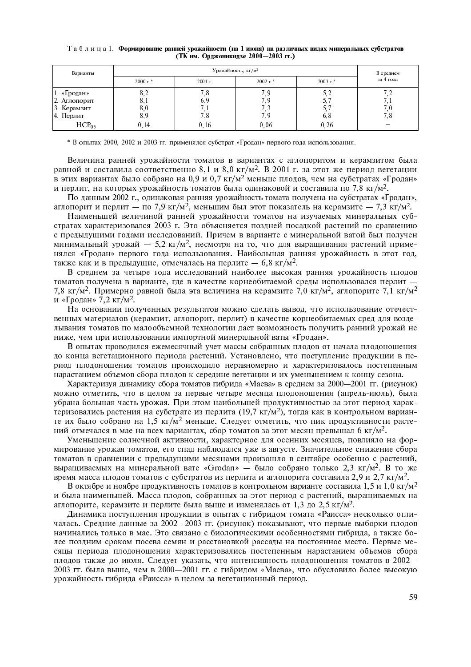| Варианты                                                       |                          | В среднем                      |            |                          |                   |  |
|----------------------------------------------------------------|--------------------------|--------------------------------|------------|--------------------------|-------------------|--|
|                                                                | $2000 r*$                | $2001$ r.                      | $2002$ r.* | $2003 r*$                | за 4 года         |  |
| 11. «Гродан»<br>2. Аглопорит<br>3. Керамзит<br>$ 4. \Pi$ ерлит | 8,2<br>8,1<br>8,0<br>8,9 | 7,8<br>6,9<br>$\cdot$ 1<br>7.8 | ر .<br>7.9 | 5,2<br>C.,<br>5,7<br>6,8 | 7,2<br>7.0<br>7,8 |  |
| $HCP_{05}$                                                     | 0,14                     | 0.16                           | 0.06       | 0,26                     |                   |  |

#### Таблица 1. Формирование ранней урожайности (на 1 июня) на различных видах минеральных субстратов (ТК им. Орджоникидзе 2000-2003 гг.)

\* В опытах 2000, 2002 и 2003 гг. применялся субстрат «Гродан» первого года использования.

Величина ранней урожайности томатов в вариантах с аглопоритом и керамзитом была равной и составила соответственно 8,1 и 8,0 кг/м<sup>2</sup>. В 2001 г. за этот же период вегетации в этих вариантах было собрано на 0,9 и 0,7 кг/м<sup>2</sup> меньше плодов, чем на субстратах «Гродан» и перлит, на которых урожайность томатов была одинаковой и составила по 7,8 кг/м<sup>2</sup>.

По данным 2002 г., одинаковая ранняя урожайность томата получена на субстратах «Гродан», аглопорит и перлит — по 7,9 кг/м<sup>2</sup>, меньшим был этот показатель на керамзите — 7,3 кг/м<sup>2</sup>.

Наименьшей величиной ранней урожайности томатов на изучаемых минеральных субстратах характеризовался 2003 г. Это объясняется поздней посадкой растений по сравнению с предыдущими годами исследований. Причем в варианте с минеральной ватой был получен минимальный урожай - 5,2 кг/м<sup>2</sup>, несмотря на то, что для выращивания растений применялся «Гродан» первого года использования. Наибольшая ранняя урожайность в этот год. также как и в предыдущие, отмечалась на перлите  $-6.8 \text{ кr/m}^2$ .

В среднем за четыре года исследований наиболее высокая ранняя урожайность плодов томатов получена в варианте, где в качестве корнеобитаемой среды использовался перлит -7,8 кг/м<sup>2</sup>. Примерно равной была эта величина на керамзите 7,0 кг/м<sup>2</sup>, аглопорите 7,1 кг/м<sup>2</sup> и «Гродан» 7.2 кг/м<sup>2</sup>.

На основании полученных результатов можно сделать вывод, что использование отечественных материалов (керамзит, аглопорит, перлит) в качестве корнеобитаемых сред для возделывания томатов по малообъемной технологии дает возможность получить ранний урожай не ниже, чем при использовании импортной минеральной ваты «Гродан».

В опытах проводился ежемесячный учет массы собранных плодов от начала плодоношения до конца вегетационного периода растений. Установлено, что поступление продукции в период плодоношения томатов происходило неравномерно и характеризовалось постепенным нарастанием объемов сбора плодов к середине вегетации и их уменьшением к концу сезона.

Характеризуя динамику сбора томатов гибрида «Маева» в среднем за 2000—2001 гг. (рисунок) можно отметить, что в целом за первые четыре месяца плодоношения (апрель-июль), была убрана большая часть урожая. При этом наибольшей продуктивностью за этот период характеризовались растения на субстрате из перлита (19,7 кг/м<sup>2</sup>), тогда как в контрольном варианте их было собрано на 1,5 кг/м<sup>2</sup> меньше. Следует отметить, что пик продуктивности растений отмечался в мае на всех вариантах, сбор томатов за этот месяц превышал 6 кг/м<sup>2</sup>.

Уменьшение солнечной активности, характерное для осенних месяцев, повлияло на формирование урожая томатов, его спал наблюлался уже в августе. Значительное снижение сбора томатов в сравнении с предыдущими месяцами произошло в сентябре особенно с растений, выращиваемых на минеральной вате «Grodan» - было собрано только 2,3 кг/м<sup>2</sup>. В то же время масса плодов томатов с субстратов из перлита и аглопорита составила 2,9 и 2,7 кг/м<sup>2</sup>.

В октябре и ноябре продуктивность томатов в контрольном варианте составила 1,5 и 1,0 кг/м<sup>2</sup> и была наименьшей. Масса плодов, собранных за этот период с растений, выращиваемых на аглопорите, керамзите и перлите была выше и изменялась от 1,3 до 2,5 кг/м<sup>2</sup>.

Динамика поступления продукции в опытах с гибридом томата «Раисса» несколько отличалась. Средние данные за 2002-2003 гг. (рисунок) показывают, что первые выборки плодов начинались только в мае. Это связано с биологическими особенностями гибрида, а также более поздним сроком посева семян и расстановкой рассады на постоянное место. Первые месяцы периода плодоношения характеризовались постепенным нарастанием объемов сбора плодов также до июля. Следует указать, что интенсивность плодоношения томатов в 2002-2003 гг. была выше, чем в 2000-2001 гг. с гибридом «Маева», что обусловило более высокую урожайность гибрида «Раисса» в целом за вегетационный период.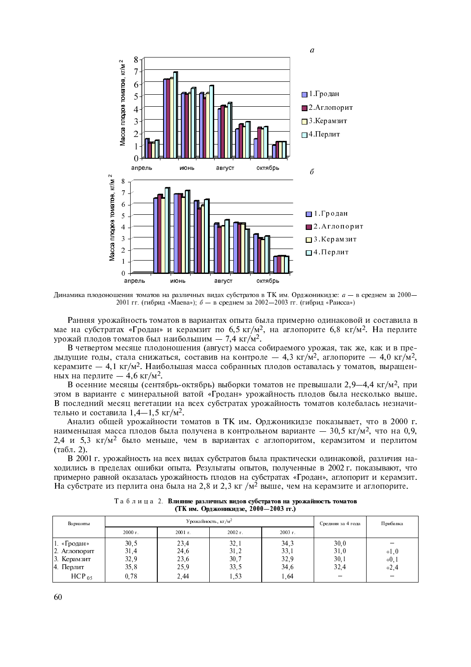

Динамика плодоношения томатов на различных видах субстратов в ТК им. Орджоникидзе: а - в среднем за 2000-2001 гг. (гибрид «Маева»);  $\delta$  - в среднем за 2002-2003 гг. (гибрид «Раисса»)

Ранняя урожайность томатов в вариантах опыта была примерно одинаковой и составила в мае на субстратах «Гродан» и керамзит по 6,5 кг/м<sup>2</sup>, на аглопорите 6,8 кг/м<sup>2</sup>. На перлите урожай плодов томатов был наибольшим - 7,4 кг/м<sup>2</sup>.

В четвертом месяце плодоношения (август) масса собираемого урожая, так же, как и в предыдущие годы, стала снижаться, составив на контроле  $-4.3 \text{ kT/M}^2$ , аглопорите  $-4.0 \text{ kT/M}^2$ , керамзите — 4,1 кг/м<sup>2</sup>. Наибольшая масса собранных плодов оставалась у томатов, выращенных на перлите — 4,6 кг/м<sup>2</sup>.

В осенние месяцы (сентябрь-октябрь) выборки томатов не превышали 2,9-4,4 кг/м<sup>2</sup>, при этом в варианте с минеральной ватой «Гродан» урожайность плодов была несколько выше. В последний месяц вегетации на всех субстратах урожайность томатов колебалась незначительно и составила 1,4-1,5 кг/м<sup>2</sup>.

Анализ общей урожайности томатов в ТК им. Орджоникидзе показывает, что в 2000 г. наименьшая масса плодов была получена в контрольном варианте - 30,5 кг/м<sup>2</sup>, что на 0,9, 2.4 и 5.3 кг/м<sup>2</sup> было меньше, чем в вариантах с аглопоритом, керамзитом и перлитом (табл. 2).

В 2001 г. урожайность на всех видах субстратов была практически одинаковой, различия находились в пределах ошибки опыта. Результаты опытов, полученные в 2002 г. показывают, что примерно равной оказалась урожайность плодов на субстратах «Гродан», аглопорит и керамзит. На субстрате из перлита она была на 2,8 и 2,3 кг /м<sup>2</sup> выше, чем на керамзите и аглопорите.

| Варианты                    |              | Урожайность, кг/м <sup>2</sup> | Средняя за 4 года | Прибавка     |              |                  |
|-----------------------------|--------------|--------------------------------|-------------------|--------------|--------------|------------------|
|                             | $2000r$ .    | $2001$ r.                      | $2002$ r.         | $2003$ r.    |              |                  |
| 1. «Гродан»                 | 30,5         | 23,4                           | 32,1              | 34,3         | 30,0         |                  |
| 2. Аглопорит<br>3. Керамзит | 31,4<br>32,9 | 24,6<br>23.6                   | 31,2<br>30,7      | 33,1<br>32.9 | 31,0<br>30.1 | $+1,0$<br>$+0.1$ |
| $ 4. \Pi$ ерлит             | 35,8         | 25,9                           | 33,5              | 34,6         | 32,4         | $+2,4$           |
| $HCP_{.05}$                 | 0,78         | 2,44                           | 1,53              | l .64        |              |                  |

Таблица 2. Влияние различных видов субстратов на урожайность томатов (ТК им. Орджоникидзе, 2000-2003 гг.)